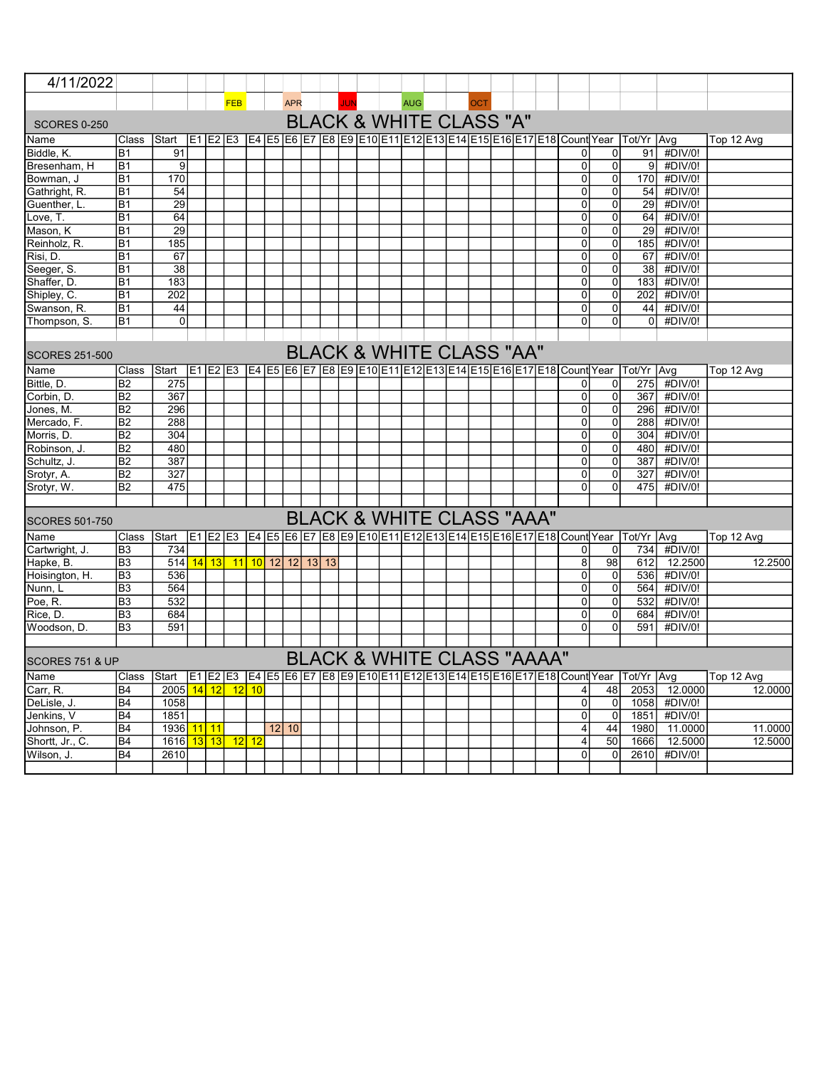| 4/11/2022                                                                                                                                 |                      |                         |    |          |                 |    |            |            |  |       |            |  |  |            |                                      |     |  |                                       |                |                                                                  |                                                                             |         |            |
|-------------------------------------------------------------------------------------------------------------------------------------------|----------------------|-------------------------|----|----------|-----------------|----|------------|------------|--|-------|------------|--|--|------------|--------------------------------------|-----|--|---------------------------------------|----------------|------------------------------------------------------------------|-----------------------------------------------------------------------------|---------|------------|
|                                                                                                                                           |                      |                         |    |          | <b>FEB</b>      |    |            | <b>APR</b> |  |       | <b>JUN</b> |  |  | <b>AUG</b> |                                      | OCT |  |                                       |                |                                                                  |                                                                             |         |            |
| <b>SCORES 0-250</b>                                                                                                                       |                      |                         |    |          |                 |    |            |            |  |       |            |  |  |            | <b>BLACK &amp; WHITE CLASS "A"</b>   |     |  |                                       |                |                                                                  |                                                                             |         |            |
| Name                                                                                                                                      | Class                |                         |    | E1 E2 E3 |                 |    |            |            |  |       |            |  |  |            |                                      |     |  |                                       |                |                                                                  | E4 E5 E6 E7 E8 E9 E10 E11 E12 E13 E14 E15 E16 E17 E18 Count Year Tot/Yr Avg |         |            |
|                                                                                                                                           |                      | Start                   |    |          |                 |    |            |            |  |       |            |  |  |            |                                      |     |  |                                       | $\overline{0}$ | 0                                                                |                                                                             | #DIV/0! | Top 12 Avg |
| Biddle, K.<br>Bresenham, H                                                                                                                | B1<br>B <sub>1</sub> | 91<br>9                 |    |          |                 |    |            |            |  |       |            |  |  |            |                                      |     |  |                                       | $\Omega$       | 0                                                                | 91<br> 9                                                                    | #DIV/0! |            |
| Bowman, J                                                                                                                                 | B <sub>1</sub>       | 170                     |    |          |                 |    |            |            |  |       |            |  |  |            |                                      |     |  |                                       | $\overline{0}$ | $\overline{0}$                                                   | 170                                                                         | #DIV/0! |            |
| Gathright, R.                                                                                                                             | B <sub>1</sub>       | 54                      |    |          |                 |    |            |            |  |       |            |  |  |            |                                      |     |  |                                       | $\Omega$       | $\Omega$                                                         | 54                                                                          | #DIV/0! |            |
| Guenther, L.                                                                                                                              | B1                   | $\overline{29}$         |    |          |                 |    |            |            |  |       |            |  |  |            |                                      |     |  |                                       | $\Omega$       | $\Omega$                                                         | 29                                                                          | #DIV/0! |            |
| Love, T.                                                                                                                                  | <b>B1</b>            | 64                      |    |          |                 |    |            |            |  |       |            |  |  |            |                                      |     |  |                                       | $\overline{0}$ | $\overline{0}$                                                   | 64                                                                          | #DIV/0! |            |
| Mason, K                                                                                                                                  | B <sub>1</sub>       | 29                      |    |          |                 |    |            |            |  |       |            |  |  |            |                                      |     |  |                                       | $\Omega$       | $\Omega$                                                         | 29                                                                          | #DIV/0! |            |
| Reinholz, R.                                                                                                                              | B <sub>1</sub>       | 185                     |    |          |                 |    |            |            |  |       |            |  |  |            |                                      |     |  |                                       | $\overline{0}$ | $\overline{0}$                                                   | 185                                                                         | #DIV/0! |            |
| Risi, D.                                                                                                                                  | B <sub>1</sub>       | 67                      |    |          |                 |    |            |            |  |       |            |  |  |            |                                      |     |  |                                       | $\overline{0}$ | $\Omega$                                                         | 67                                                                          | #DIV/0! |            |
| Seeger, S.                                                                                                                                | B <sub>1</sub>       | 38                      |    |          |                 |    |            |            |  |       |            |  |  |            |                                      |     |  |                                       | $\overline{0}$ | $\overline{0}$                                                   | 38                                                                          | #DIV/0! |            |
| Shaffer, D.                                                                                                                               | B <sub>1</sub>       | 183                     |    |          |                 |    |            |            |  |       |            |  |  |            |                                      |     |  |                                       | $\overline{0}$ | $\Omega$                                                         | 183                                                                         | #DIV/0! |            |
| Shipley, C.                                                                                                                               | B <sub>1</sub>       | 202                     |    |          |                 |    |            |            |  |       |            |  |  |            |                                      |     |  |                                       | $\overline{0}$ | $\overline{0}$                                                   | 202                                                                         | #DIV/0! |            |
| Swanson, R.                                                                                                                               | B <sub>1</sub>       | 44                      |    |          |                 |    |            |            |  |       |            |  |  |            |                                      |     |  |                                       | $\Omega$       | $\Omega$                                                         | 44                                                                          | #DIV/0! |            |
| Thompson, S.                                                                                                                              | B <sub>1</sub>       | $\overline{0}$          |    |          |                 |    |            |            |  |       |            |  |  |            |                                      |     |  |                                       | $\Omega$       | 0                                                                | $\Omega$                                                                    | #DIV/0! |            |
|                                                                                                                                           |                      |                         |    |          |                 |    |            |            |  |       |            |  |  |            |                                      |     |  |                                       |                |                                                                  |                                                                             |         |            |
|                                                                                                                                           |                      |                         |    |          |                 |    |            |            |  |       |            |  |  |            |                                      |     |  |                                       |                |                                                                  |                                                                             |         |            |
| <b>BLACK &amp; WHITE CLASS "AA"</b><br><b>SCORES 251-500</b><br>E1 E2 E3 E4 E5 E6 E7 E8 E9 E10 E11 E12 E13 E14 E15 E16 E17 E18 Count Year |                      |                         |    |          |                 |    |            |            |  |       |            |  |  |            |                                      |     |  |                                       |                |                                                                  |                                                                             |         |            |
| Name                                                                                                                                      | Class                | Start                   |    |          |                 |    |            |            |  |       |            |  |  |            |                                      |     |  |                                       |                |                                                                  | Tot/Yr   Avg                                                                |         | Top 12 Avg |
| Bittle, D.                                                                                                                                | B <sub>2</sub>       | 275                     |    |          |                 |    |            |            |  |       |            |  |  |            |                                      |     |  |                                       | $\overline{0}$ | $\overline{0}$                                                   | 275                                                                         | #DIV/0! |            |
| Corbin, D.                                                                                                                                | $\overline{B2}$      | 367                     |    |          |                 |    |            |            |  |       |            |  |  |            |                                      |     |  |                                       | 0              | 0                                                                | 367                                                                         | #DIV/0! |            |
| Jones, M.                                                                                                                                 | B <sub>2</sub>       | 296                     |    |          |                 |    |            |            |  |       |            |  |  |            |                                      |     |  |                                       | $\Omega$       | $\Omega$                                                         | 296                                                                         | #DIV/0! |            |
| Mercado, F.                                                                                                                               | B2                   | 288                     |    |          |                 |    |            |            |  |       |            |  |  |            |                                      |     |  |                                       | $\overline{0}$ | $\overline{0}$                                                   | 288                                                                         | #DIV/0! |            |
| Morris, D.                                                                                                                                | B <sub>2</sub>       | 304                     |    |          |                 |    |            |            |  |       |            |  |  |            |                                      |     |  |                                       | $\overline{0}$ | $\Omega$                                                         | 304                                                                         | #DIV/0! |            |
| Robinson, J.                                                                                                                              | B <sub>2</sub>       | 480                     |    |          |                 |    |            |            |  |       |            |  |  |            |                                      |     |  |                                       | $\overline{0}$ | $\Omega$                                                         | 480                                                                         | #DIV/0! |            |
| Schultz, J.                                                                                                                               | B <sub>2</sub>       | 387                     |    |          |                 |    |            |            |  |       |            |  |  |            |                                      |     |  |                                       | 0              | $\mathbf 0$                                                      | 387                                                                         | #DIV/0! |            |
| Srotyr, A.                                                                                                                                | B <sub>2</sub>       | 327                     |    |          |                 |    |            |            |  |       |            |  |  |            |                                      |     |  |                                       | $\overline{0}$ | $\Omega$                                                         | 327                                                                         | #DIV/0! |            |
| Srotyr, W.                                                                                                                                | B <sub>2</sub>       | 475                     |    |          |                 |    |            |            |  |       |            |  |  |            |                                      |     |  |                                       | $\overline{0}$ | $\Omega$                                                         | 475                                                                         | #DIV/0! |            |
|                                                                                                                                           |                      |                         |    |          |                 |    |            |            |  |       |            |  |  |            |                                      |     |  |                                       |                |                                                                  |                                                                             |         |            |
| <b>SCORES 501-750</b>                                                                                                                     |                      |                         |    |          |                 |    |            |            |  |       |            |  |  |            | <b>BLACK &amp; WHITE CLASS "AAA"</b> |     |  |                                       |                |                                                                  |                                                                             |         |            |
| Name                                                                                                                                      | Class                | Start                   |    | E1 E2 E3 |                 |    |            |            |  |       |            |  |  |            |                                      |     |  |                                       |                |                                                                  | E4 E5 E6 E7 E8 E9 E10 E11 E12 E13 E14 E15 E16 E17 E18 Count Year Tot/Yr Avg |         | Top 12 Avg |
| Cartwright, J.                                                                                                                            | B <sub>3</sub>       | 734                     |    |          |                 |    |            |            |  |       |            |  |  |            |                                      |     |  |                                       | 0              | $\mathbf{0}$                                                     | 734                                                                         | #DIV/0! |            |
| Hapke, B.                                                                                                                                 | B <sub>3</sub>       | 514                     |    | $14$ 13  | 11              |    | $10$ 12 12 |            |  | 13 13 |            |  |  |            |                                      |     |  |                                       | 8 <sup>1</sup> | 98                                                               | 612                                                                         | 12.2500 | 12.2500    |
| Hoisington, H.                                                                                                                            | B <sub>3</sub>       | 536                     |    |          |                 |    |            |            |  |       |            |  |  |            |                                      |     |  |                                       | 0              | 0                                                                | 536                                                                         | #DIV/0! |            |
| Nunn, L                                                                                                                                   | B <sub>3</sub>       | 564                     |    |          |                 |    |            |            |  |       |            |  |  |            |                                      |     |  |                                       | $\overline{0}$ | $\overline{0}$                                                   | 564                                                                         | #DIV/0! |            |
| Poe, R.                                                                                                                                   | B <sub>3</sub>       | 532                     |    |          |                 |    |            |            |  |       |            |  |  |            |                                      |     |  |                                       | $\overline{0}$ | $\overline{0}$                                                   | 532                                                                         | #DIV/0! |            |
| Rice, D.                                                                                                                                  | B <sub>3</sub>       | 684                     |    |          |                 |    |            |            |  |       |            |  |  |            |                                      |     |  |                                       | $\overline{0}$ | 0                                                                | 684                                                                         | #DIV/0! |            |
| Woodson, D.                                                                                                                               | B <sub>3</sub>       | 591                     |    |          |                 |    |            |            |  |       |            |  |  |            |                                      |     |  |                                       | $\Omega$       | $\Omega$                                                         | 591                                                                         | #DIV/0! |            |
|                                                                                                                                           |                      |                         |    |          |                 |    |            |            |  |       |            |  |  |            |                                      |     |  |                                       |                |                                                                  |                                                                             |         |            |
| SCORES 751 & UP                                                                                                                           |                      |                         |    |          |                 |    |            |            |  |       |            |  |  |            |                                      |     |  | <b>BLACK &amp; WHITE CLASS "AAAA"</b> |                |                                                                  |                                                                             |         |            |
| Name                                                                                                                                      | Class                | Start                   |    | E1 E2 E3 |                 |    |            |            |  |       |            |  |  |            |                                      |     |  |                                       |                | E4 E5 E6 E7 E8 E9 E10 E11 E12 E13 E14 E15 E16 E17 E18 Count Year | Tot/Yr   Avg                                                                |         | Top 12 Avg |
| Carr, R.                                                                                                                                  | B <sub>4</sub>       | 2005                    | 14 | 12       | 12              | 10 |            |            |  |       |            |  |  |            |                                      |     |  |                                       | 4              | 48                                                               | 2053                                                                        | 12.0000 | 12.0000    |
| DeLisle, J.                                                                                                                               | B <sub>4</sub>       | 1058                    |    |          |                 |    |            |            |  |       |            |  |  |            |                                      |     |  |                                       | $\overline{0}$ | 0                                                                | 1058                                                                        | #DIV/0! |            |
| Jenkins, V                                                                                                                                | B <sub>4</sub>       | 1851                    |    |          |                 |    |            |            |  |       |            |  |  |            |                                      |     |  |                                       | $\overline{0}$ | $\mathbf 0$                                                      | 1851                                                                        | #DIV/0! |            |
| Johnson, P.                                                                                                                               | B <sub>4</sub>       | 1936 <mark>11 11</mark> |    |          |                 |    | $12$   10  |            |  |       |            |  |  |            |                                      |     |  |                                       | 4              | 44                                                               | 1980                                                                        | 11.0000 | 11.0000    |
| Shortt, Jr., C.                                                                                                                           | B <sub>4</sub>       | 1616                    |    | $13$ 13  | 12 <sup>1</sup> | 12 |            |            |  |       |            |  |  |            |                                      |     |  |                                       | 4              | 50                                                               | 1666                                                                        | 12.5000 | 12.5000    |
| Wilson, J.                                                                                                                                | B <sub>4</sub>       | 2610                    |    |          |                 |    |            |            |  |       |            |  |  |            |                                      |     |  |                                       | $\Omega$       | $\Omega$                                                         | 2610                                                                        | #DIV/0! |            |
|                                                                                                                                           |                      |                         |    |          |                 |    |            |            |  |       |            |  |  |            |                                      |     |  |                                       |                |                                                                  |                                                                             |         |            |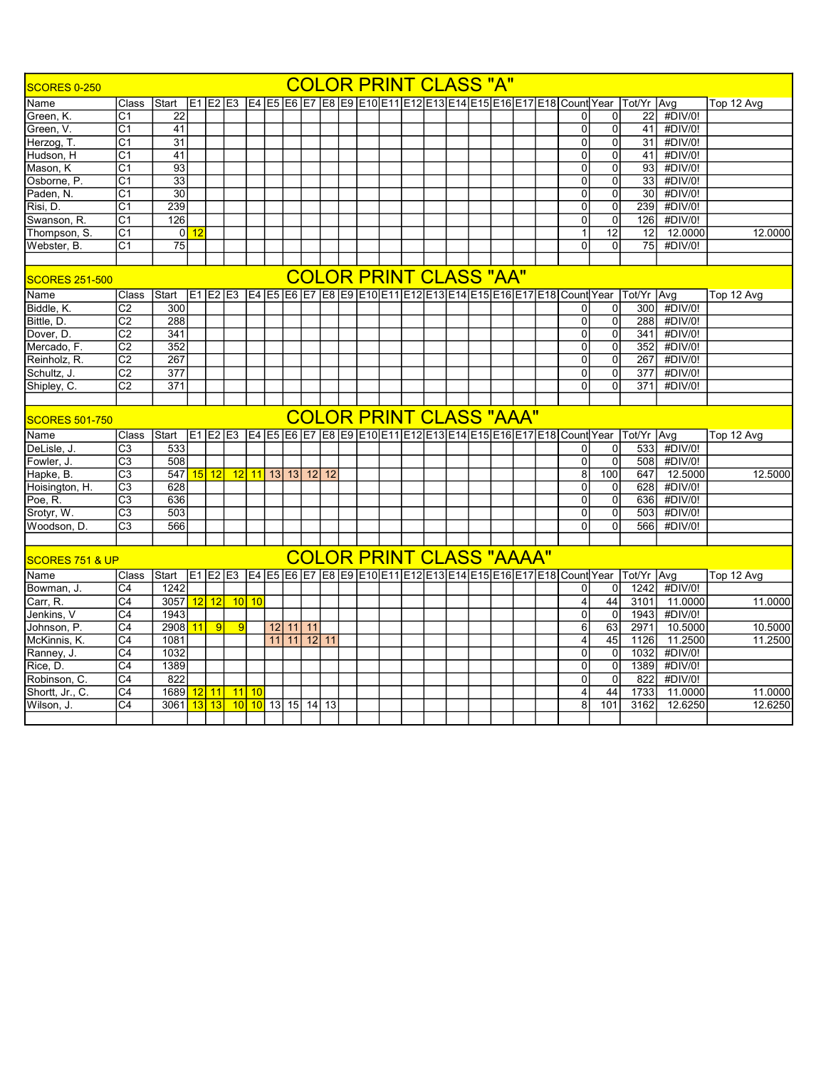| <b>COLOR PRINT CLASS "A"</b><br><b>SCORES 0-250</b><br>E1 E2 E3 E4 E5 E6 E7 E8 E9 E10 E11 E12 E13 E14 E15 E16 E17 E18 Count Year Tot Yr Avg |                  |                 |          |                |                 |         |    |          |             |         |  |  |  |                                 |  |  |  |                 |                |                                                                                      |         |            |
|---------------------------------------------------------------------------------------------------------------------------------------------|------------------|-----------------|----------|----------------|-----------------|---------|----|----------|-------------|---------|--|--|--|---------------------------------|--|--|--|-----------------|----------------|--------------------------------------------------------------------------------------|---------|------------|
| Name                                                                                                                                        | Class            | Start           |          |                |                 |         |    |          |             |         |  |  |  |                                 |  |  |  |                 |                |                                                                                      |         | Top 12 Avg |
| Green, K.                                                                                                                                   | C <sub>1</sub>   | 22              |          |                |                 |         |    |          |             |         |  |  |  |                                 |  |  |  | $\Omega$        | 0              | 22                                                                                   | #DIV/0! |            |
| Green, V.                                                                                                                                   | $\overline{C1}$  | $\overline{41}$ |          |                |                 |         |    |          |             |         |  |  |  |                                 |  |  |  | $\overline{0}$  | $\overline{0}$ | 41                                                                                   | #DIV/0! |            |
| Herzog, T.                                                                                                                                  | C <sub>1</sub>   | 31              |          |                |                 |         |    |          |             |         |  |  |  |                                 |  |  |  | $\overline{0}$  | $\overline{0}$ | 31                                                                                   | #DIV/0! |            |
| Hudson, H                                                                                                                                   | $\overline{C}$ 1 | 41              |          |                |                 |         |    |          |             |         |  |  |  |                                 |  |  |  | $\overline{0}$  | $\overline{0}$ | 41                                                                                   | #DIV/0! |            |
| Mason. K                                                                                                                                    | C <sub>1</sub>   | 93              |          |                |                 |         |    |          |             |         |  |  |  |                                 |  |  |  | $\overline{0}$  | $\overline{0}$ | 93                                                                                   | #DIV/0! |            |
| Osborne, P.                                                                                                                                 | C <sub>1</sub>   | $\overline{33}$ |          |                |                 |         |    |          |             |         |  |  |  |                                 |  |  |  | $\Omega$        | $\Omega$       | 33                                                                                   | #DIV/0! |            |
| Paden, N.                                                                                                                                   | C <sub>1</sub>   | 30              |          |                |                 |         |    |          |             |         |  |  |  |                                 |  |  |  | $\Omega$        | $\Omega$       | 30                                                                                   | #DIV/0! |            |
| Risi. D.                                                                                                                                    | C <sub>1</sub>   | 239             |          |                |                 |         |    |          |             |         |  |  |  |                                 |  |  |  | $\Omega$        | $\Omega$       | 239                                                                                  | #DIV/0! |            |
| Swanson, R.                                                                                                                                 | C <sub>1</sub>   | 126             |          |                |                 |         |    |          |             |         |  |  |  |                                 |  |  |  | $\Omega$        | 0              | 126                                                                                  | #DIV/0! |            |
| Thompson, S.                                                                                                                                | C <sub>1</sub>   |                 | $0$   12 |                |                 |         |    |          |             |         |  |  |  |                                 |  |  |  | $\mathbf{1}$    | 12             | 12                                                                                   | 12.0000 | 12.0000    |
| Webster, B.                                                                                                                                 | C <sub>1</sub>   | $\overline{75}$ |          |                |                 |         |    |          |             |         |  |  |  |                                 |  |  |  | $\overline{0}$  | $\Omega$       | 75                                                                                   | #DIV/0! |            |
|                                                                                                                                             |                  |                 |          |                |                 |         |    |          |             |         |  |  |  |                                 |  |  |  |                 |                |                                                                                      |         |            |
| <b>SCORES 251-500</b>                                                                                                                       |                  |                 |          |                |                 |         |    |          |             |         |  |  |  | <b>COLOR PRINT CLASS "AA"</b>   |  |  |  |                 |                |                                                                                      |         |            |
| Name                                                                                                                                        | Class            | Start           |          |                |                 |         |    |          |             |         |  |  |  |                                 |  |  |  |                 |                | E1 E2 E3 E4 E5 E6 E7 E8 E9 E10 E11 E12 E13 E14 E15 E16 E17 E18 Count Year Tot/Yr Avg |         | Top 12 Avg |
| Biddle, K.                                                                                                                                  | C <sub>2</sub>   | 300             |          |                |                 |         |    |          |             |         |  |  |  |                                 |  |  |  | $\overline{0}$  | $\Omega$       | 300                                                                                  | #DIV/0! |            |
| Bittle, D.                                                                                                                                  | $\overline{C2}$  | 288             |          |                |                 |         |    |          |             |         |  |  |  |                                 |  |  |  | $\overline{0}$  | $\overline{0}$ | 288                                                                                  | #DIV/0! |            |
| Dover, D.                                                                                                                                   | $\overline{C2}$  | 341             |          |                |                 |         |    |          |             |         |  |  |  |                                 |  |  |  | $\overline{0}$  | $\overline{0}$ | 341                                                                                  | #DIV/0! |            |
| Mercado, F.                                                                                                                                 | $\overline{C2}$  | 352             |          |                |                 |         |    |          |             |         |  |  |  |                                 |  |  |  | $\overline{0}$  | $\Omega$       | 352                                                                                  | #DIV/0! |            |
| Reinholz, R.                                                                                                                                | $\overline{C2}$  | 267             |          |                |                 |         |    |          |             |         |  |  |  |                                 |  |  |  | $\Omega$        | 0              | 267                                                                                  | #DIV/0! |            |
| Schultz, J.                                                                                                                                 | C <sub>2</sub>   | 377             |          |                |                 |         |    |          |             |         |  |  |  |                                 |  |  |  | $\Omega$        | 0              | 377                                                                                  | #DIV/0! |            |
| Shipley, C.                                                                                                                                 | C <sub>2</sub>   | 371             |          |                |                 |         |    |          |             |         |  |  |  |                                 |  |  |  | $\Omega$        | $\overline{0}$ | 371                                                                                  | #DIV/0! |            |
|                                                                                                                                             |                  |                 |          |                |                 |         |    |          |             |         |  |  |  |                                 |  |  |  |                 |                |                                                                                      |         |            |
| <b>COLOR PRINT CLASS "AAA"</b><br><b>SCORES 501-750</b>                                                                                     |                  |                 |          |                |                 |         |    |          |             |         |  |  |  |                                 |  |  |  |                 |                |                                                                                      |         |            |
| Name                                                                                                                                        | Class            | <b>IStart</b>   |          |                |                 |         |    |          |             |         |  |  |  |                                 |  |  |  |                 |                | E1 E2 E3 E4 E5 E6 E7 E8 E9 E10 E11 E12 E13 E14 E15 E16 E17 E18 Count Year Tot/Yr Avg |         | Top 12 Avg |
| DeLisle, J.                                                                                                                                 | C <sub>3</sub>   | 533             |          |                |                 |         |    |          |             |         |  |  |  |                                 |  |  |  | 0               | 0              | 533                                                                                  | #DIV/0! |            |
| Fowler, J.                                                                                                                                  | $\overline{C3}$  | 508             |          |                |                 |         |    |          |             |         |  |  |  |                                 |  |  |  | $\mathbf 0$     | 0              | 508                                                                                  | #DIV/0! |            |
| Hapke, B.                                                                                                                                   | $\overline{C3}$  | 547             |          | $15$ 12        | 12              | 11      |    |          | 13 13 12 12 |         |  |  |  |                                 |  |  |  | $\overline{8}$  | 100            | 647                                                                                  | 12.5000 | 12.5000    |
| Hoisington, H.                                                                                                                              | $\overline{C3}$  | 628             |          |                |                 |         |    |          |             |         |  |  |  |                                 |  |  |  | $\overline{0}$  | 0              | 628                                                                                  | #DIV/0! |            |
| Poe, R.                                                                                                                                     | $\overline{C3}$  | 636             |          |                |                 |         |    |          |             |         |  |  |  |                                 |  |  |  | $\overline{0}$  | $\overline{0}$ | 636                                                                                  | #DIV/0! |            |
| Srotyr, W.                                                                                                                                  | C <sub>3</sub>   | 503             |          |                |                 |         |    |          |             |         |  |  |  |                                 |  |  |  | $\overline{0}$  | $\overline{0}$ | 503                                                                                  | #DIV/0! |            |
| Woodson, D.                                                                                                                                 | C <sub>3</sub>   | 566             |          |                |                 |         |    |          |             |         |  |  |  |                                 |  |  |  | $\Omega$        | $\Omega$       | 566                                                                                  | #DIV/0! |            |
|                                                                                                                                             |                  |                 |          |                |                 |         |    |          |             |         |  |  |  |                                 |  |  |  |                 |                |                                                                                      |         |            |
| SCORES 751 & UP                                                                                                                             |                  |                 |          |                |                 |         |    |          |             |         |  |  |  | <b>COLOR PRINT CLASS "AAAA"</b> |  |  |  |                 |                |                                                                                      |         |            |
| Name                                                                                                                                        | Class            | Start           |          |                |                 |         |    |          |             |         |  |  |  |                                 |  |  |  |                 |                | E1 E2 E3 E4 E5 E6 E7 E8 E9 E10 E11 E12 E13 E14 E15 E16 E17 E18 Count Year Tot/Yr Avg |         | Top 12 Avg |
| Bowman, J.                                                                                                                                  | C <sub>4</sub>   | 1242            |          |                |                 |         |    |          |             |         |  |  |  |                                 |  |  |  | $\overline{0}$  | 0              | 1242                                                                                 | #DIV/0! |            |
| Carr. R.                                                                                                                                    | C <sub>4</sub>   | 3057            |          | 12 12          | 10 <sup>1</sup> | 10      |    |          |             |         |  |  |  |                                 |  |  |  | $\overline{4}$  | 44             | 3101                                                                                 | 11.0000 | 11.0000    |
| Jenkins, V                                                                                                                                  | $\overline{C4}$  | 1943            |          |                |                 |         |    |          |             |         |  |  |  |                                 |  |  |  | $\Omega$        | 0              | 1943                                                                                 | #DIV/0! |            |
| Johnson, P.                                                                                                                                 | C <sub>4</sub>   | 2908            | 11       | $\overline{9}$ | 9               |         |    | 12 11 11 |             |         |  |  |  |                                 |  |  |  | $6\phantom{1}6$ | 63             | 2971                                                                                 | 10.5000 | 10.5000    |
| McKinnis, K.                                                                                                                                | $\overline{C4}$  | 1081            |          |                |                 |         | 11 | 11       |             | $12$ 11 |  |  |  |                                 |  |  |  | 4               | 45             | 1126                                                                                 | 11.2500 | 11.2500    |
| Ranney, J.                                                                                                                                  | $\overline{C4}$  | 1032            |          |                |                 |         |    |          |             |         |  |  |  |                                 |  |  |  | $\overline{0}$  | $\overline{0}$ | 1032                                                                                 | #DIV/0! |            |
| Rice, D.                                                                                                                                    | C <sub>4</sub>   | 1389            |          |                |                 |         |    |          |             |         |  |  |  |                                 |  |  |  | $\overline{0}$  | 0              | 1389                                                                                 | #DIV/0! |            |
| Robinson, C.                                                                                                                                | $\overline{C4}$  | 822             |          |                |                 |         |    |          |             |         |  |  |  |                                 |  |  |  | $\overline{0}$  | $\overline{0}$ | 822                                                                                  | #DIV/0! |            |
| Shortt, Jr., C.                                                                                                                             | C <sub>4</sub>   | 1689            | 12       | 11             | 11              | 10      |    |          |             |         |  |  |  |                                 |  |  |  | 4               | 44             | 1733                                                                                 | 11.0000 | 11.0000    |
| Wilson, J.                                                                                                                                  | C <sub>4</sub>   | 3061            |          | 13 13          |                 | $10$ 10 |    |          | 13 15 14 13 |         |  |  |  |                                 |  |  |  | 8               | 101            | 3162                                                                                 | 12.6250 | 12.6250    |
|                                                                                                                                             |                  |                 |          |                |                 |         |    |          |             |         |  |  |  |                                 |  |  |  |                 |                |                                                                                      |         |            |